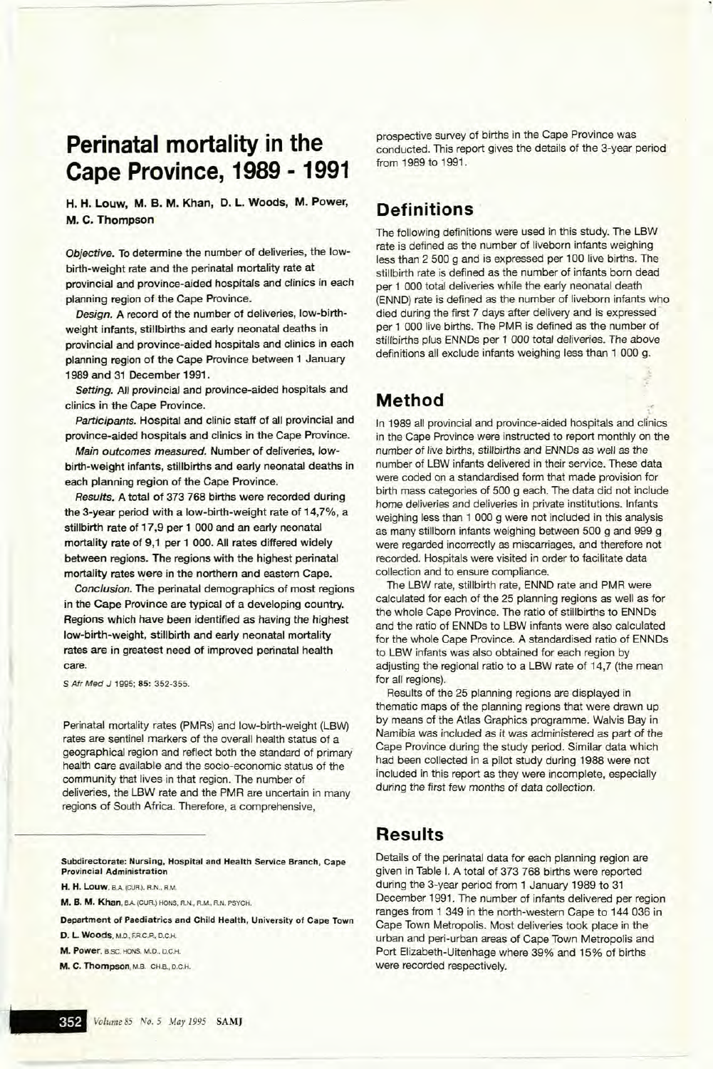# **Perinatal mortality in the Cape Province, 1989 - 1991**

H. H. Louw, M. B. M. Khan, D. L. Woods, M. Power, M. C. Thompson

Objective. To determine the number of deliveries, the lowbirth-weight rate and the perinatal mortality rate at provincial and province-aided hospitals and clinics in each planning region of the Cape Province.

Design. A record of the number of deliveries, low-birthweight infants, stillbirths and early neonatal deaths in provincial and province-aided hospitals and clinics in each planning region of the Cape Province between 1 January 1989 and 31 December 1991.

Setting. All provincial and province-aided hospitals and clinics in the Cape Province.

Participants. Hospital and clinic staff of all provincial and province-aided hospitals and clinics in the Cape Province.

Main outcomes measured. Number of deliveries, lowbirth-weight infants, stillbirths and early neonatal deaths in each planning region of the Cape Province.

Results. A total of 373 768 births were recorded during the 3-year period with a low-birth-weight rate of 14,7%, a stillbirth rate of 17,9 per 1 000 and an early neonatal mortality rate of 9,1 per 1 000. All rates differed widely between regions. The regions with the highest perinatal mortality rates were in the northern and eastern Cape.

Conclusion. The perinatal demographics of most regions in the Cape Province are typical of a developing country. Regions which have been identified as having the highest low-birth-weight, stillbirth and early neonatal mortality rates are in greatest need of improved perinatal health care.

S Atr Med J 1995; 85: 352-355.

Perinatal mortality rates (PMRs) and low-birth-weight (LBW) rates are sentinel markers of the overall health status of a geographical region and reflect both the standard of primary health care available and the socio-economic status of the community that lives in that region. The number of deliveries, the LBW rate and the PMR are uncertain in many regions of South Africa. Therefore, a comprehensive,

Subdirectorate: Nursing, Hospital and Health Service Branch, Cape Provincial Administration

H. H. Louw. BA (CUR), R.N.. R.M.

M. B. M. Khan, BA (CUR.) HONS, RN., RM.. RN. PSYCH.

Department of Paediatrics and Child Health, University of Cape Town D. L. Woods. M.D., ER.C.P., D.C.H.

M. Power, B.SC. HONS, M.D.. D.C.H.

M. C. Thompson, M.B. CH.B., D.C.H.

prospective survey of births in the Cape Province was conducted. This report gives the details of the 3-year period from 1989 to 1991.

## **Definitions**

The following definitions were used in this study. The LBW rate is defined as the number of Iiveborn infants weighing less than 2 500 g and is expressed per 100 live births. The stillbirth rate is defined as the number of infants born dead per 1 000 total deliveries while the early neonatal death (ENND) rate is defined as the number of liveborn infants who died during the first 7 days after delivery and is expressed per 1 000 live births. The PMR is defined as the number of stillbirths plus ENNDs per 1 000 total deliveries. The above definitions all exclude infants weighing less than 1 000 g.

**Method**<br>In 1989 all provincial and province-aided hospitals and clinics in the Cape Province were instructed to report monthly on the number of live births, stillbirths and ENNDs as well as the number of LBW infants delivered in their service. These data were coded on a standardised form that made provision for birth mass categories of 500 g each. The data did not include home deliveries and deliveries in private institutions. Infants weighing less than 1 000 g were not included in this analysis as many stillborn infants weighing between 500 g and 999 g were regarded incorrectly as miscarriages, and therefore not recorded. Hospitals were visited in order to facilitate data collection and to ensure compliance.

The LBW rate, stillbirth rate, ENND rate and PMR were calculated for each of the 25 planning regions as well as for the whole Cape Province. The ratio of stillbirths to ENNDs and the ratio of ENNDs to LBW infants were also calculated for the whole Cape Province. A standardised ratio of ENNDs to LBW infants was also obtained for each region by adjusting the regional ratio to a LBW rate of 14,7 (the mean for all regions).

Results of the 25 planning regions are displayed in thematic maps of the planning regions that were drawn up by means of the Atlas Graphics programme. Walvis Bay in Namibia was included as it was administered as part of the Cape Province during the study period. Similar data which had been collected in a pilot study during 1988 were not included in this report as they were incomplete, especially during the first few months of data collection.

### **Results**

Details of the perinatal data for each planning region are given in Table I. A total of 373 768 births were reported during the 3-year period from 1 January 1989 to 31 December 1991. The number of infants delivered per region ranges from 1 349 in the north-western Cape to 144 036 in Cape Town Metropolis. Most deliveries took place in the urban and peri-urban areas of Cape Town Metropolis and Port Elizabeth-Uitenhage where 39% and 15% of births were recorded respectively.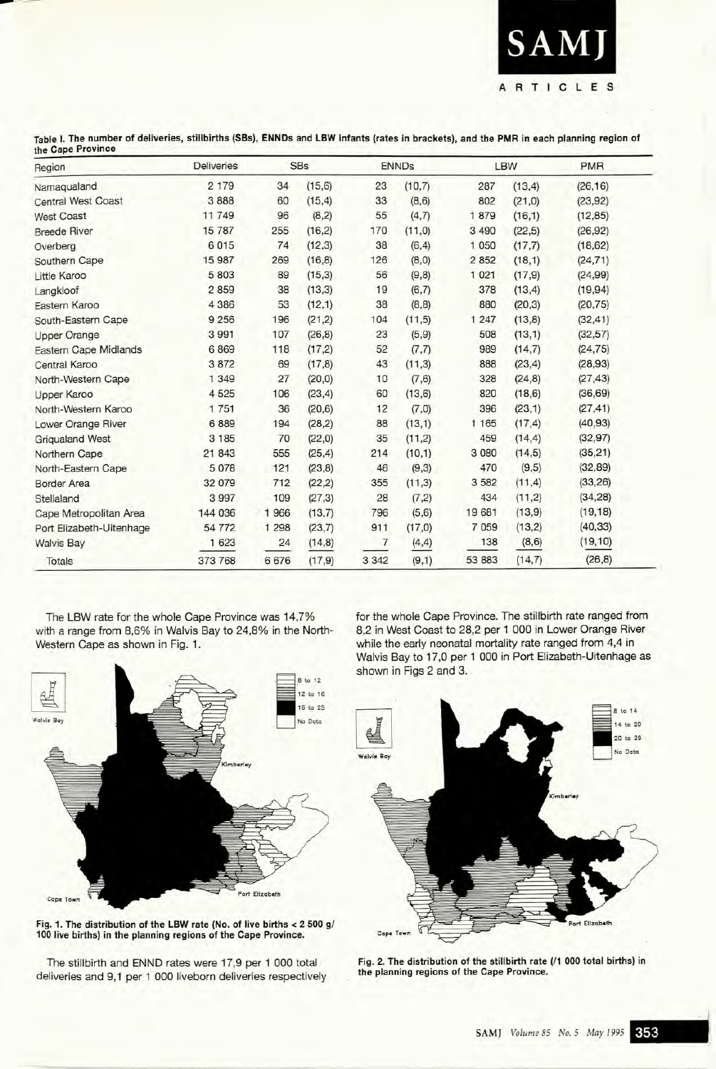

Table I. The number of deliveries, stillbirths (5Bs), ENNDs and LBW infants (rates in brackets), and the PMR in each planning region of the Cape Province

| Region<br>Namaqualand        | <b>Deliveries</b><br>2 1 7 9 | <b>SBs</b> |         | <b>ENNDs</b> |         | LBW     |         | <b>PMR</b> |
|------------------------------|------------------------------|------------|---------|--------------|---------|---------|---------|------------|
|                              |                              | 34         | (15, 6) | 23           | (10,7)  | 287     | (13, 4) | (26, 16)   |
| <b>Central West Coast</b>    | 3888                         | 60         | (15, 4) | 33           | (8,6)   | 802     | (21, 0) | (23, 92)   |
| <b>West Coast</b>            | 11 749                       | 96         | (8,2)   | 55           | (4,7)   | 1879    | (16, 1) | (12, 85)   |
| <b>Breede River</b>          | 15787                        | 255        | (16, 2) | 170          | (11,0)  | 3 4 9 0 | (22, 5) | (26, 92)   |
| Overberg                     | 6015                         | 74         | (12, 3) | 38           | (6, 4)  | 1 0 5 0 | (17,7)  | (18, 62)   |
| Southern Cape                | 15 987                       | 269        | (16, 8) | 126          | (8, 0)  | 2 8 5 2 | (18,1)  | (24, 71)   |
| <b>Little Karoo</b>          | 5 803                        | 89         | (15,3)  | 56           | (9, 8)  | 1 0 2 1 | (17, 9) | (24, 99)   |
| Langkloof                    | 2859                         | 38         | (13,3)  | 19           | (6,7)   | 378     | (13, 4) | (19, 94)   |
| Eastern Karoo                | 4 3 8 6                      | 53         | (12,1)  | 38           | (8, 8)  | 880     | (20, 3) | (20, 75)   |
| South-Eastern Cape           | 9 2 5 6                      | 196        | (21, 2) | 104          | (11,5)  | 1 2 4 7 | (13, 8) | (32, 41)   |
| <b>Upper Orange</b>          | 3 9 9 1                      | 107        | (26, 8) | 23           | (5, 9)  | 508     | (13,1)  | (32, 57)   |
| <b>Eastern Cape Midlands</b> | 6869                         | 118        | (17,2)  | 52           | (7,7)   | 989     | (14,7)  | (24, 75)   |
| Central Karoo                | 3872                         | 69         | (17.8)  | 43           | (11,3)  | 888     | (23, 4) | (28, 93)   |
| North-Western Cape           | 1 3 4 9                      | 27         | (20, 0) | 10           | (7, 6)  | 328     | (24, 8) | (27, 43)   |
| Upper Karoo                  | 4 5 2 5                      | 106        | (23, 4) | 60           | (13, 6) | 820     | (18, 6) | (36, 69)   |
| North-Western Karoo          | 1751                         | 36         | (20, 6) | 12           | (7,0)   | 396     | (23,1)  | (27, 41)   |
| Lower Orange River           | 6889                         | 194        | (28, 2) | 88           | (13,1)  | 1 1 65  | (17, 4) | (40, 93)   |
| <b>Grigualand West</b>       | 3 1 8 5                      | 70         | (22,0)  | 35           | (11,2)  | 459     | (14, 4) | (32, 97)   |
| Northern Cape                | 21 843                       | 555        | (25, 4) | 214          | (10,1)  | 3 0 8 0 | (14,5)  | (35, 21)   |
| North-Eastern Cape           | 5078                         | 121        | (23, 8) | 46           | (9,3)   | 470     | (9, 5)  | (32, 89)   |
| <b>Border Area</b>           | 32 079                       | 712        | (22, 2) | 355          | (11,3)  | 3 5 8 2 | (11,4)  | (33, 26)   |
| Stellaland                   | 3 9 9 7                      | 109        | (27, 3) | 28           | (7,2)   | 434     | (11,2)  | (34, 28)   |
| Cape Metropolitan Area       | 144 036                      | 1966       | (13,7)  | 796          | (5, 6)  | 19 681  | (13, 9) | (19, 18)   |
| Port Elizabeth-Uitenhage     | 54 772                       | 1 2 9 8    | (23,7)  | 911          | (17,0)  | 7 0 5 9 | (13,2)  | (40, 33)   |
| <b>Walvis Bay</b>            | 1 623                        | 24         | (14, 8) | 7            | (4, 4)  | 138     | (8, 6)  | (19, 10)   |
| <b>Totals</b>                | 373 768                      | 6676       | (17, 9) | 3 3 4 2      | (9,1)   | 53 883  | (14,7)  | (26, 8)    |

The LBW rate for the whole Cape Province was 14,7% with a range from 8,6% in Walvis Bay to 24,8% in the North-Western Cape as shown in Fig. 1.



Fig. 1. The distribution of the LBW rate (No. of live births < 2 500 g/ 100 live births) in the planning regions of the Cape Province.

The stillbirth and ENND rates were 17,9 per 1 000 total deliveries and 9,1 per 1 000 liveborn deliveries respectively for the whole Cape Province. The stillbirth rate ranged from 8,2 in West Coast to 28,2 per 1 000 in Lower Orange River while the early neonatal mortality rate ranged from 4,4 in Walvis Bay to 17,0 per 1 000 in Port Elizabeth-Uitenhage as shown in Figs 2 and 3.



Fig. 2. The distribution of the stillbirth rate (/1 000 total births) in the planning regions of the Cape Province.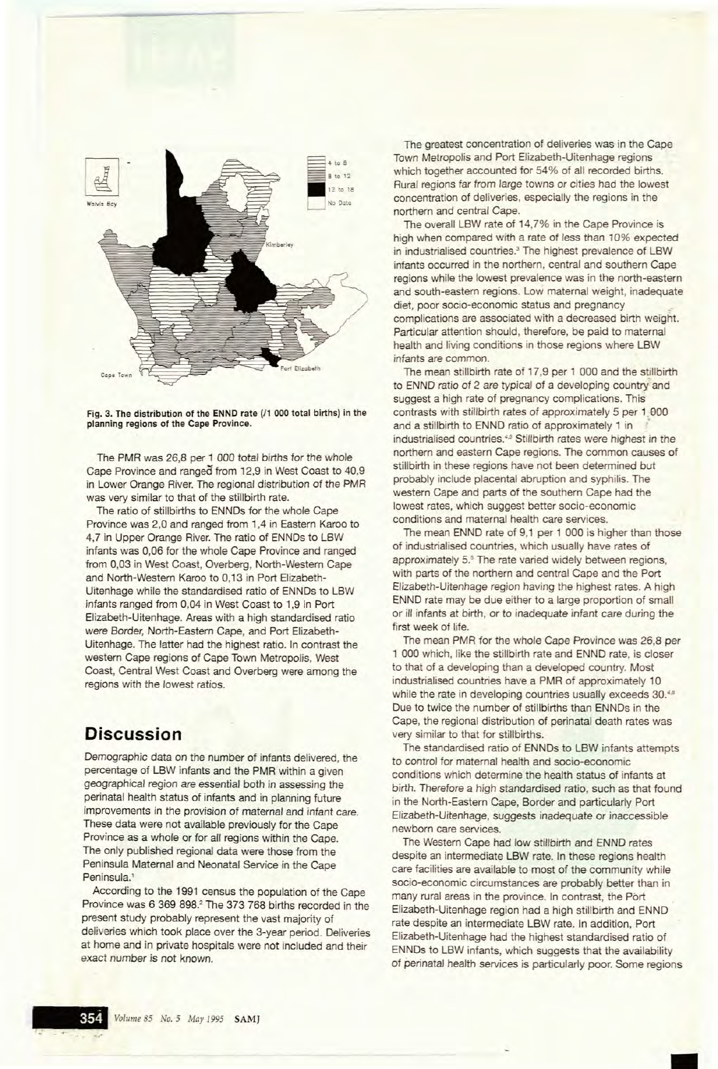

Fig. 3. The distribution of the ENND rate ( $/1$  000 total births) in the planning regions of the Cape Province.

The PMR was 26,8 per 1 *000* total births for the whole Cape Province and ranged from 12,9 in West Coast to 40,9 in Lower Orange River. The regional distribution of the PMR was very similar to that of the stillbirth rate.

The ratio of stillbirths to ENNDs for the whole Cape Province was 2,0 and ranged from 1,4 in Eastern Karoo to 4,7 in Upper Orange River. The ratio of ENNDs to LBW infants was 0,06 for the whole Cape Province and ranged from *0,03* in West Coast, Overberg, North-Western Cape and North-Western Karoo to *0,13* in Port Elizabeth-Uitenhage while the standardised ratio of ENNDs to LBW infants ranged from 0,04 in West Coast to 1,9 in Port Elizabeth-Uitenhage. Areas with a high standardised ratio were Border, North-Eastern Cape, and Port Elizabeth-Uitenhage. The latter had the highest ratio. In contrast the western Cape regions of Cape Town Metropolis, West Coast, Central West Coast and Overberg were among the regions with the lowest ratios.

#### **Discussion**

Demographic data on the number of infants delivered, the percentage of LBW infants and the PMR within a given geographical region are essential both in assessing the perinatal health status of infants and in planning future improvements in the provision of maternal and infant care. These data were not available previously for the Cape Province as a whole or for all regions within the Cape. The only published regional data were those from the Peninsula Maternal and Neonatal Service in the Cape Peninsula.'

According to the 1991 census the population of the Cape Province was 6 369 898.<sup>2</sup> The 373 768 births recorded in the present study probably represent the vast majority of deliveries which took place over the 3-year period. Deliveries at home and in private hospitals were not included and their exact number is not known.

The greatest concentration of deliveries was in the Cape Town Metropolis and Port Elizabeth-Uitenhage regions which together accounted for 54% of all recorded births. Rural regions far from large towns or cities had the lowest concentration of deliveries, especially the regions in the northern and central Cape.

The overall LBW rate of 14,7% in the Cape Province is high when compared with a rate of less than 10% expected in industrialised countries.<sup>3</sup> The highest prevalence of LBW infants occurred in the northern, central and southern Cape regions while the lowest prevalence was in the north-eastern and south-eastern regions. Low maternal weight, inadequate diet, poor socio-economic status and pregnancy complications are associated with a decreased birth weight. Particular attention should, therefore, be paid to maternal health and living conditions in those regions where LBW infants are common.

The mean stillbirth rate of 17,9 per 1 000 and the stillbirth to ENND ratio of 2 are typical of a developing country and suggest a high rate of pregnancy complications. This contrasts with stillbirth rates of approximately 5 per 1,000 and a stillbirth to ENND ratio of approximately 1 in ' industrialised countries.<sup>4,5</sup> Stillbirth rates were highest in the northern and eastern Cape regions. The common causes of stillbirth in these regions have not been determined but probably include placental abruption and syphilis. The western Cape and parts of the southern Cape had the lowest rates, which suggest better socio-economic conditions and maternal health care services.

The mean ENND rate of 9,1 per 1 000 is higher than those of industrialised countries, which usually have rates of approximately 5.<sup>5</sup> The rate varied widely between regions, with parts of the northern and central Cape and the Port Elizabeth-Uitenhage region having the highest rates. A high ENND rate may be due either to a large proportion of small or ill infants at birth, or to inadequate infant care during the first week of life.

The mean PMR for the whole Cape Province was 26,8 per 1 000 which, like the stillbirth rate and ENND rate, is closer to that of a developing than a developed country. Most industrialised countries have a PMR of approximately 10 while the rate in developing countries usually exceeds 30.46 Due to twice the number of stillbirths than ENNDs in the Cape, the regional distribution of perinatal death rates was very similar to that for stillbirths.

The standardised ratio of ENNDs to LBW infants attempts to control for maternal health and socio-economic conditions which determine the health status of infants at birth. Therefore a high standardised ratio, such as that found in the North-Eastern Cape, Border and particularly Port Elizabeth-Uitenhage, suggests inadequate or inaccessible newborn care services.

The Western Cape had low stillbirth and ENND rates despite an intermediate LBW rate. In these regions health care facilities are available to most of the community while socio-economic circumstances are probably better than in many rural areas in the province. In contrast, the Port Elizabeth-Uitenhage region had a high stillbirth and ENND rate despite an intermediate LBW rate. In addition, Port Elizabeth-Uitenhage had the highest standardised ratio of ENNDs to LBW infants, which suggests that the availability of perinatal health services is particularly poor. Some regions

•

• ~J **\_.\_**